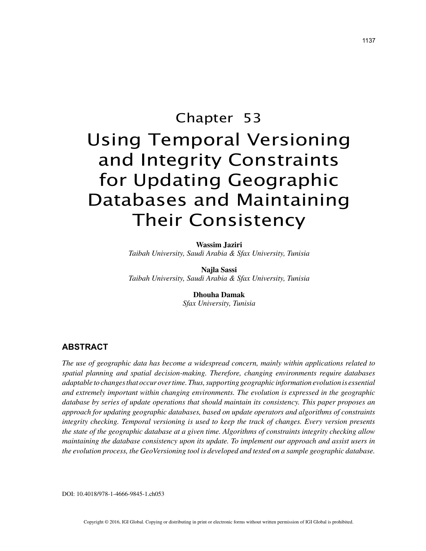# Chapter 53 Using Temporal Versioning and Integrity Constraints for Updating Geographic Databases and Maintaining Their Consistency

**Wassim Jaziri**

*Taibah University, Saudi Arabia & Sfax University, Tunisia*

**Najla Sassi** *Taibah University, Saudi Arabia & Sfax University, Tunisia*

> **Dhouha Damak** *Sfax University, Tunisia*

# **ABSTRACT**

*The use of geographic data has become a widespread concern, mainly within applications related to spatial planning and spatial decision-making. Therefore, changing environments require databases adaptable to changes that occur over time. Thus, supporting geographic information evolution is essential and extremely important within changing environments. The evolution is expressed in the geographic database by series of update operations that should maintain its consistency. This paper proposes an approach for updating geographic databases, based on update operators and algorithms of constraints integrity checking. Temporal versioning is used to keep the track of changes. Every version presents the state of the geographic database at a given time. Algorithms of constraints integrity checking allow maintaining the database consistency upon its update. To implement our approach and assist users in the evolution process, the GeoVersioning tool is developed and tested on a sample geographic database.*

DOI: 10.4018/978-1-4666-9845-1.ch053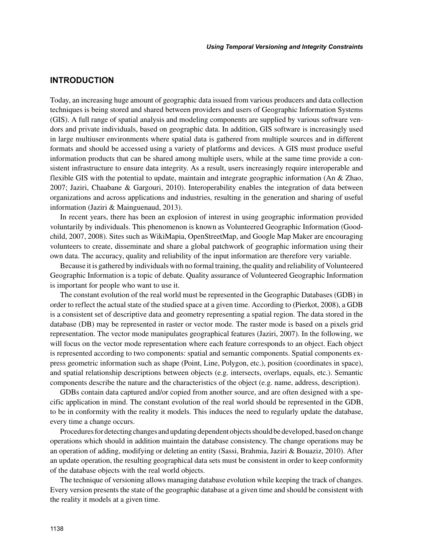# **INTRODUCTION**

Today, an increasing huge amount of geographic data issued from various producers and data collection techniques is being stored and shared between providers and users of Geographic Information Systems (GIS). A full range of spatial analysis and modeling components are supplied by various software vendors and private individuals, based on geographic data. In addition, GIS software is increasingly used in large multiuser environments where spatial data is gathered from multiple sources and in different formats and should be accessed using a variety of platforms and devices. A GIS must produce useful information products that can be shared among multiple users, while at the same time provide a consistent infrastructure to ensure data integrity. As a result, users increasingly require interoperable and flexible GIS with the potential to update, maintain and integrate geographic information (An & Zhao, 2007; Jaziri, Chaabane & Gargouri, 2010). Interoperability enables the integration of data between organizations and across applications and industries, resulting in the generation and sharing of useful information (Jaziri & Mainguenaud, 2013).

In recent years, there has been an explosion of interest in using geographic information provided voluntarily by individuals. This phenomenon is known as Volunteered Geographic Information (Goodchild, 2007, 2008). Sites such as WikiMapia, OpenStreetMap, and Google Map Maker are encouraging volunteers to create, disseminate and share a global patchwork of geographic information using their own data. The accuracy, quality and reliability of the input information are therefore very variable.

Because it is gathered by individuals with no formal training, the quality and reliability of Volunteered Geographic Information is a topic of debate. Quality assurance of Volunteered Geographic Information is important for people who want to use it.

The constant evolution of the real world must be represented in the Geographic Databases (GDB) in order to reflect the actual state of the studied space at a given time. According to (Pierkot, 2008), a GDB is a consistent set of descriptive data and geometry representing a spatial region. The data stored in the database (DB) may be represented in raster or vector mode. The raster mode is based on a pixels grid representation. The vector mode manipulates geographical features (Jaziri, 2007). In the following, we will focus on the vector mode representation where each feature corresponds to an object. Each object is represented according to two components: spatial and semantic components. Spatial components express geometric information such as shape (Point, Line, Polygon, etc.), position (coordinates in space), and spatial relationship descriptions between objects (e.g. intersects, overlaps, equals, etc.). Semantic components describe the nature and the characteristics of the object (e.g. name, address, description).

GDBs contain data captured and/or copied from another source, and are often designed with a specific application in mind. The constant evolution of the real world should be represented in the GDB, to be in conformity with the reality it models. This induces the need to regularly update the database, every time a change occurs.

Procedures for detecting changes and updating dependent objects should be developed, based on change operations which should in addition maintain the database consistency. The change operations may be an operation of adding, modifying or deleting an entity (Sassi, Brahmia, Jaziri & Bouaziz, 2010). After an update operation, the resulting geographical data sets must be consistent in order to keep conformity of the database objects with the real world objects.

The technique of versioning allows managing database evolution while keeping the track of changes. Every version presents the state of the geographic database at a given time and should be consistent with the reality it models at a given time.